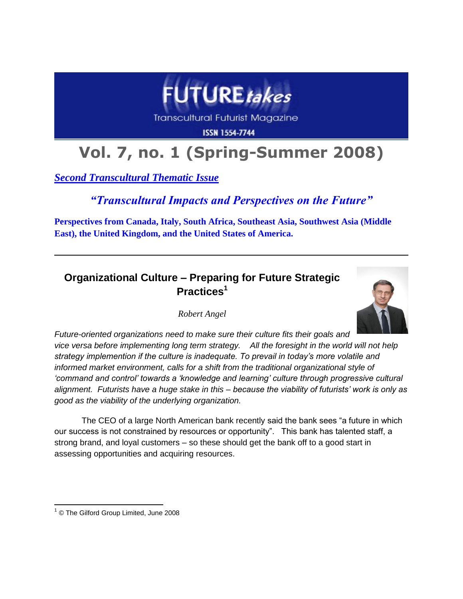

# **Vol. 7, no. 1 (Spring-Summer 2008)**

*Second Transcultural Thematic Issue*

*"Transcultural Impacts and Perspectives on the Future"*

**Perspectives from Canada, Italy, South Africa, Southeast Asia, Southwest Asia (Middle East), the United Kingdom, and the United States of America.**

## **Organizational Culture – Preparing for Future Strategic Practices<sup>1</sup>**

*Robert Angel*



*Future-oriented organizations need to make sure their culture fits their goals and vice versa before implementing long term strategy. All the foresight in the world will not help strategy implemention if the culture is inadequate. To prevail in today"s more volatile and informed market environment, calls for a shift from the traditional organizational style of "command and control" towards a "knowledge and learning" culture through progressive cultural alignment. Futurists have a huge stake in this – because the viability of futurists" work is only as good as the viability of the underlying organization.*

The CEO of a large North American bank recently said the bank sees "a future in which our success is not constrained by resources or opportunity". This bank has talented staff, a strong brand, and loyal customers – so these should get the bank off to a good start in assessing opportunities and acquiring resources.

 $\overline{a}$ <sup>1</sup> © The Gilford Group Limited, June 2008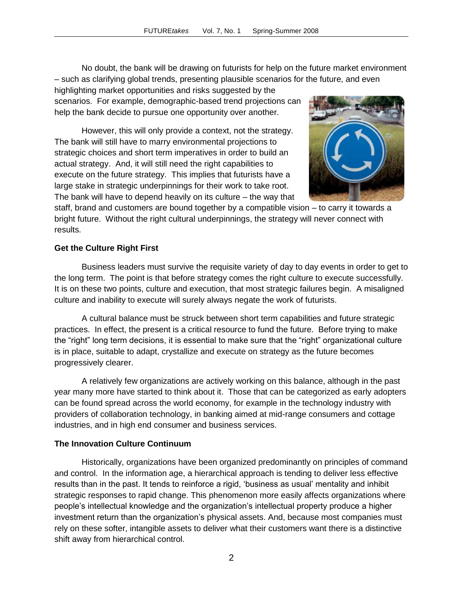No doubt, the bank will be drawing on futurists for help on the future market environment – such as clarifying global [trends,](http://en.wikipedia.org/wiki/Trend) presenting plausible [scenarios](http://en.wikipedia.org/wiki/Scenarios) for the future, and even

highlighting [market](http://en.wikipedia.org/wiki/Emerging_market) opportunities and risks suggested by the scenarios. For example, demographic-based trend projections can help the bank decide to pursue one opportunity over another.

However, this will only provide a context, not the strategy. The bank will still have to marry environmental projections to strategic choices and short term imperatives in order to build an actual strategy. And, it will still need the right capabilities to execute on the future strategy. This implies that futurists have a large stake in strategic underpinnings for their work to take root. The bank will have to depend heavily on its culture – the way that



staff, brand and customers are bound together by a compatible vision – to carry it towards a bright future. Without the right cultural underpinnings, the strategy will never connect with results.

### **Get the Culture Right First**

Business leaders must survive the requisite variety of day to day events in order to get to the long term. The point is that before strategy comes the right culture to execute successfully. It is on these two points, culture and execution, that most strategic failures begin. A misaligned culture and inability to execute will surely always negate the work of futurists.

A cultural balance must be struck between short term capabilities and future strategic practices. In effect, the present is a critical resource to fund the future. Before trying to make the "right" long term decisions, it is essential to make sure that the "right" organizational culture is in place, suitable to adapt, crystallize and execute on strategy as the future becomes progressively clearer.

A relatively few organizations are actively working on this balance, although in the past year many more have started to think about it. Those that can be categorized as early adopters can be found spread across the world economy, for example in the technology industry with providers of collaboration technology, in banking aimed at mid-range consumers and cottage industries, and in high end consumer and business services.

#### **The Innovation Culture Continuum**

Historically, organizations have been organized predominantly on principles of command and control. In the information age, a hierarchical approach is tending to deliver less effective results than in the past. It tends to reinforce a rigid, "business as usual" mentality and inhibit strategic responses to rapid change. This phenomenon more easily affects organizations where people"s intellectual knowledge and the organization"s intellectual property produce a higher investment return than the organization"s physical assets. And, because most companies must rely on these softer, intangible assets to deliver what their customers want there is a distinctive shift away from hierarchical control.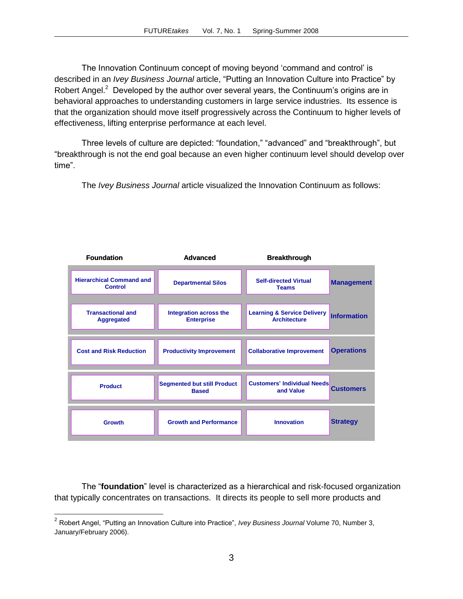The Innovation Continuum concept of moving beyond "command and control" is described in an *Ivey Business Journal* article, "Putting an Innovation Culture into Practice" by Robert Angel.<sup>2</sup> Developed by the author over several years, the Continuum's origins are in behavioral approaches to understanding customers in large service industries. Its essence is that the organization should move itself progressively across the Continuum to higher levels of effectiveness, lifting enterprise performance at each level.

Three levels of culture are depicted: "foundation," "advanced" and "breakthrough", but "breakthrough is not the end goal because an even higher continuum level should develop over time".

The *Ivey Business Journal* article visualized the Innovation Continuum as follows:



The "**foundation**" level is characterized as a hierarchical and risk-focused organization that typically concentrates on transactions. It directs its people to sell more products and

 $\overline{a}$ 

<sup>2</sup> Robert Angel, "Putting an Innovation Culture into Practice", *Ivey Business Journal* Volume 70, Number 3, January/February 2006).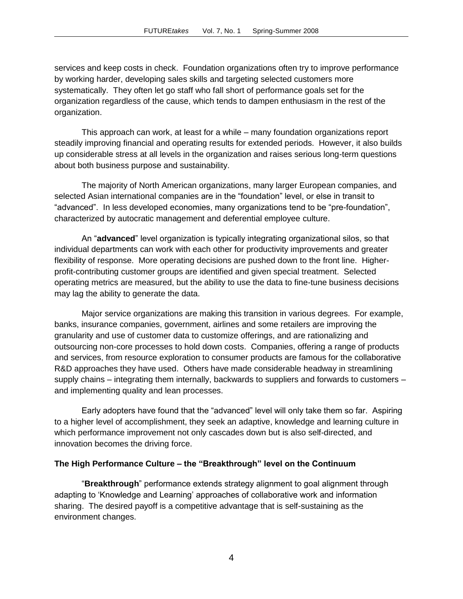services and keep costs in check. Foundation organizations often try to improve performance by working harder, developing sales skills and targeting selected customers more systematically. They often let go staff who fall short of performance goals set for the organization regardless of the cause, which tends to dampen enthusiasm in the rest of the organization.

This approach can work, at least for a while – many foundation organizations report steadily improving financial and operating results for extended periods. However, it also builds up considerable stress at all levels in the organization and raises serious long-term questions about both business purpose and sustainability.

The majority of North American organizations, many larger European companies, and selected Asian international companies are in the "foundation" level, or else in transit to "advanced". In less developed economies, many organizations tend to be "pre-foundation", characterized by autocratic management and deferential employee culture.

An "**advanced**" level organization is typically integrating organizational silos, so that individual departments can work with each other for productivity improvements and greater flexibility of response. More operating decisions are pushed down to the front line. Higherprofit-contributing customer groups are identified and given special treatment. Selected operating metrics are measured, but the ability to use the data to fine-tune business decisions may lag the ability to generate the data.

Major service organizations are making this transition in various degrees. For example, banks, insurance companies, government, airlines and some retailers are improving the granularity and use of customer data to customize offerings, and are rationalizing and outsourcing non-core processes to hold down costs. Companies, offering a range of products and services, from resource exploration to consumer products are famous for the collaborative R&D approaches they have used. Others have made considerable headway in streamlining supply chains – integrating them internally, backwards to suppliers and forwards to customers – and implementing quality and lean processes.

Early adopters have found that the "advanced" level will only take them so far. Aspiring to a higher level of accomplishment, they seek an adaptive, knowledge and learning culture in which performance improvement not only cascades down but is also self-directed, and innovation becomes the driving force.

#### **The High Performance Culture – the "Breakthrough" level on the Continuum**

"**Breakthrough**" performance extends strategy alignment to goal alignment through adapting to "Knowledge and Learning" approaches of collaborative work and information sharing. The desired payoff is a competitive advantage that is self-sustaining as the environment changes.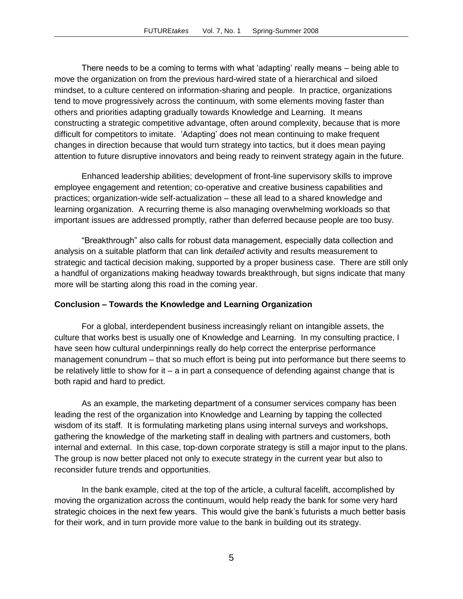There needs to be a coming to terms with what "adapting" really means – being able to move the organization on from the previous hard-wired state of a hierarchical and siloed mindset, to a culture centered on information-sharing and people. In practice, organizations tend to move progressively across the continuum, with some elements moving faster than others and priorities adapting gradually towards Knowledge and Learning. It means constructing a strategic competitive advantage, often around complexity, because that is more difficult for competitors to imitate. "Adapting" does not mean continuing to make frequent changes in direction because that would turn strategy into tactics, but it does mean paying attention to future disruptive innovators and being ready to reinvent strategy again in the future.

Enhanced leadership abilities; development of front-line supervisory skills to improve employee engagement and retention; co-operative and creative business capabilities and practices; organization-wide self-actualization – these all lead to a shared knowledge and learning organization. A recurring theme is also managing overwhelming workloads so that important issues are addressed promptly, rather than deferred because people are too busy.

"Breakthrough" also calls for robust data management, especially data collection and analysis on a suitable platform that can link *detailed* activity and results measurement to strategic and tactical decision making, supported by a proper business case. There are still only a handful of organizations making headway towards breakthrough, but signs indicate that many more will be starting along this road in the coming year.

#### **Conclusion – Towards the Knowledge and Learning Organization**

For a global, interdependent business increasingly reliant on intangible assets, the culture that works best is usually one of Knowledge and Learning. In my consulting practice, I have seen how cultural underpinnings really do help correct the enterprise performance management conundrum – that so much effort is being put into performance but there seems to be relatively little to show for it – a in part a consequence of defending against change that is both rapid and hard to predict.

As an example, the marketing department of a consumer services company has been leading the rest of the organization into Knowledge and Learning by tapping the collected wisdom of its staff. It is formulating marketing plans using internal surveys and workshops, gathering the knowledge of the marketing staff in dealing with partners and customers, both internal and external. In this case, top-down corporate strategy is still a major input to the plans. The group is now better placed not only to execute strategy in the current year but also to reconsider future trends and opportunities.

In the bank example, cited at the top of the article, a cultural facelift, accomplished by moving the organization across the continuum, would help ready the bank for some very hard strategic choices in the next few years. This would give the bank's futurists a much better basis for their work, and in turn provide more value to the bank in building out its strategy.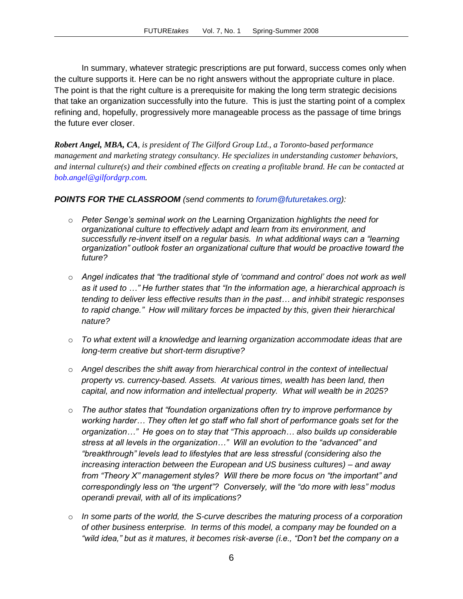In summary, whatever strategic prescriptions are put forward, success comes only when the culture supports it. Here can be no right answers without the appropriate culture in place. The point is that the right culture is a prerequisite for making the long term strategic decisions that take an organization successfully into the future. This is just the starting point of a complex refining and, hopefully, progressively more manageable process as the passage of time brings the future ever closer.

*Robert Angel, MBA, CA, is president of The Gilford Group Ltd., a Toronto-based performance management and marketing strategy consultancy. He specializes in understanding customer behaviors, and internal culture(s) and their combined effects on creating a profitable brand. He can be contacted at [bob.angel@gilfordgrp.com.](mailto:bob.angel@gilfordgrp.com)*

#### *POINTS FOR THE CLASSROOM (send comments to [forum@futuretakes.org\)](mailto:forum@futuretakes.org):*

- o *Peter Senge"s seminal work on the* Learning Organization *highlights the need for organizational culture to effectively adapt and learn from its environment, and successfully re-invent itself on a regular basis. In what additional ways can a "learning organization" outlook foster an organizational culture that would be proactive toward the future?*
- o *Angel indicates that "the traditional style of "command and control" does not work as well as it used to …" He further states that "In the information age, a hierarchical approach is tending to deliver less effective results than in the past… and inhibit strategic responses to rapid change." How will military forces be impacted by this, given their hierarchical nature?*
- o *To what extent will a knowledge and learning organization accommodate ideas that are long-term creative but short-term disruptive?*
- o *Angel describes the shift away from hierarchical control in the context of intellectual property vs. currency-based. Assets. At various times, wealth has been land, then capital, and now information and intellectual property. What will wealth be in 2025?*
- o *The author states that "foundation organizations often try to improve performance by working harder… They often let go staff who fall short of performance goals set for the organization…" He goes on to stay that "This approach… also builds up considerable stress at all levels in the organization…" Will an evolution to the "advanced" and "breakthrough" levels lead to lifestyles that are less stressful (considering also the increasing interaction between the European and US business cultures) – and away from "Theory X" management styles? Will there be more focus on "the important" and correspondingly less on "the urgent"? Conversely, will the "do more with less" modus operandi prevail, with all of its implications?*
- o *In some parts of the world, the S-curve describes the maturing process of a corporation of other business enterprise. In terms of this model, a company may be founded on a "wild idea," but as it matures, it becomes risk-averse (i.e., "Don"t bet the company on a*